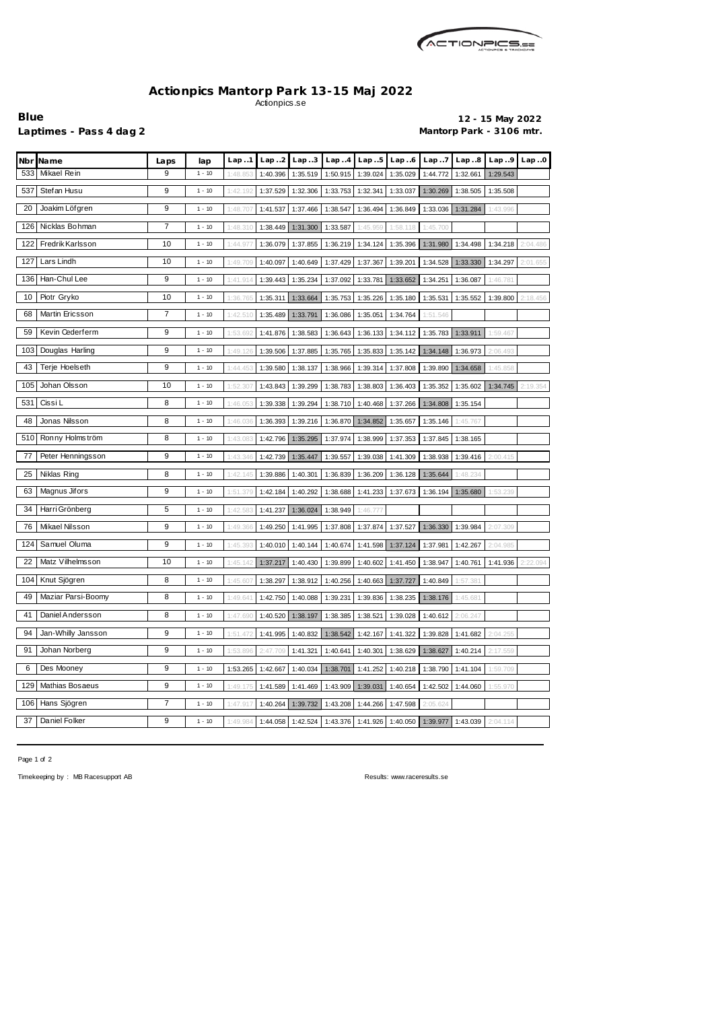

## **Actionpics Mantorp Park 13-15 Maj 2022** Actionpics.se

**Blue 12 - 15 May 2022** Laptimes - Pass 4 dag 2 **Mantorp Park - 3106 mtr.** 

| Nbr Name                 | Laps | lap      | Lap.1                                                                     | Lap.2    | Lap.3    | Lap.4    | Lap.5             | Lap.6    | Lap.7    | Lap.8             | Lap.9    | Lap.0    |
|--------------------------|------|----------|---------------------------------------------------------------------------|----------|----------|----------|-------------------|----------|----------|-------------------|----------|----------|
| Mikael Rein<br>533       | 9    | $1 - 10$ | 1:48.85                                                                   | 1:40.396 | 1:35.519 | 1:50.915 | 1:39.024          | 1:35.029 | 1:44.772 | 1:32.661          | 1:29.543 |          |
| Stefan Husu<br>537       | 9    | $1 - 10$ | 1:42.192                                                                  | 1:37.529 | 1:32.306 | 1:33.753 | 1:32.341          | 1:33.037 | 1:30.269 | 1:38.505          | 1:35.508 |          |
| Joakim Löfgren<br>20     | 9    | $1 - 10$ | 1:48.70                                                                   | 1:41.537 | 1:37.466 | 1:38.547 | 1:36.494          | 1:36.849 | 1:33.036 | 1:31.284          | 1:43.996 |          |
| 126<br>Nicklas Bohman    | 7    | $1 - 10$ | 1:48.310                                                                  | 1:38.449 | 1:31.300 | 1:33.587 | 1:45.959          | 1:58.118 | 1:45.700 |                   |          |          |
| Fredrik Karlsson<br>122  | 10   | $1 - 10$ | 1:44.97                                                                   | 1:36.079 | 1:37.855 | 1:36.219 | 1:34.124          | 1:35.396 | 1:31.980 | 1:34.498          | 1:34.218 | 2:04.486 |
| Lars Lindh<br>127        | 10   | $1 - 10$ | 1:49.709                                                                  | 1:40.097 | 1:40.649 | 1:37.429 | 1:37.367          | 1:39.201 | 1:34.528 | 1:33.330          | 1:34.297 | 2:01.655 |
| Han-Chul Lee<br>136      | 9    | $1 - 10$ | 1:41.914                                                                  | 1:39.443 | 1:35.234 | 1:37.092 | 1:33.781          | 1:33.652 | 1:34.251 | 1:36.087          | 1:46.781 |          |
| Piotr Gryko<br>10        | 10   | $1 - 10$ | 1:36.765                                                                  | 1:35.311 | 1:33.664 | 1:35.753 | 1:35.226          | 1:35.180 | 1:35.531 | 1:35.552          | 1:39.800 | 2:18.456 |
| Martin Ericsson<br>68    | 7    | $1 - 10$ | 1:42.510                                                                  | 1:35.489 | 1:33.791 | 1:36.086 | 1:35.051          | 1:34.764 | 1:51.546 |                   |          |          |
| Kevin Cederferm<br>59    | 9    | $1 - 10$ | 1:53.692                                                                  | 1:41.876 | 1:38.583 | 1:36.643 | 1:36.133          | 1:34.112 |          | 1:35.783 1:33.911 | 1:59.467 |          |
| 103<br>Douglas Harling   | 9    | $1 - 10$ | 1:49.126                                                                  | 1:39.506 | 1:37.885 | 1:35.765 | 1:35.833          | 1:35.142 | 1:34.148 | 1:36.973          | 2:06.493 |          |
| 43<br>Terje Hoelseth     | 9    | $1 - 10$ | 1:44.45                                                                   | 1:39.580 | 1:38.137 | 1:38.966 | 1:39.314          | 1:37.808 | 1:39.890 | 1:34.658          | 1:45.858 |          |
| Johan Olsson<br>105      | 10   | $1 - 10$ | 1:52.307                                                                  | 1:43.843 | 1:39.299 | 1:38.783 | 1:38.803          | 1:36.403 | 1:35.352 | 1:35.602          | 1:34.745 | 2:19.354 |
| Cissi L<br>531           | 8    | $1 - 10$ | 1:46.05                                                                   | 1:39.338 | 1:39.294 | 1:38.710 | 1:40.468          | 1:37.266 | 1:34.808 | 1:35.154          |          |          |
| 48<br>Jonas Nilsson      | 8    | $1 - 10$ | 1:46.036                                                                  | 1:36.393 | 1:39.216 | 1:36.870 | 1:34.852          | 1:35.657 | 1:35.146 | 1:45.767          |          |          |
| 510<br>Ronny Holmström   | 8    | $1 - 10$ | 1:43.083                                                                  | 1:42.796 | 1:35.295 | 1:37.974 | 1:38.999          | 1:37.353 | 1:37.845 | 1:38.165          |          |          |
| 77<br>Peter Henningsson  | 9    | $1 - 10$ | 1:43.346                                                                  | 1:42.739 | 1:35.447 | 1:39.557 | 1:39.038          | 1:41.309 | 1:38.938 | 1:39.416          | 2:00.415 |          |
| 25<br>Niklas Ring        | 8    | $1 - 10$ | 1:42.145                                                                  | 1:39.886 | 1:40.301 | 1:36.839 | 1:36.209          | 1:36.128 | 1:35.644 | 1:48.234          |          |          |
| Magnus Jifors<br>63      | 9    | $1 - 10$ | 1:51.379                                                                  | 1:42.184 | 1:40.292 | 1:38.688 | 1:41.233          | 1:37.673 | 1:36.194 | 1:35.680          | 1:53.239 |          |
| 34<br>Harri Grönberg     | 5    | $1 - 10$ | 1:42.58                                                                   | 1:41.237 | 1:36.024 | 1:38.949 | 1:46.777          |          |          |                   |          |          |
| 76<br>Mikael Nilsson     | 9    | $1 - 10$ | 1:49.366                                                                  | 1:49.250 | 1:41.995 | 1:37.808 | 1:37.874          | 1:37.527 | 1:36.330 | 1:39.984          | 2:07.309 |          |
| 124<br>Samuel Oluma      | 9    | $1 - 10$ | 1:45.39                                                                   | 1:40.010 | 1:40.144 | 1:40.674 | 1:41.598          | 1:37.124 | 1:37.981 | 1:42.267          | 2:04.985 |          |
| Matz Vilhelmsson<br>22   | 10   | $1 - 10$ | 1:45.142                                                                  | 1:37.217 | 1:40.430 |          | 1:39.899 1:40.602 | 1:41.450 | 1:38.947 | 1:40.761          | 1:41.936 | 2:22.094 |
| 104 Knut Sjögren         | 8    | $1 - 10$ | $1:45.607$ 1:38.297 1:38.912 1:40.256 1:40.663 1:37.727 1:40.849 1:57.381 |          |          |          |                   |          |          |                   |          |          |
| 49<br>Maziar Parsi-Boomy | 8    | $1 - 10$ | 1:49.641                                                                  | 1:42.750 | 1:40.088 | 1:39.231 | 1:39.836          | 1:38.235 | 1:38.176 | 1:45.681          |          |          |
| 41<br>Daniel Andersson   | 8    | $1 - 10$ | 1:47.690                                                                  | 1:40.520 | 1:38.197 | 1:38.385 | 1:38.521          | 1:39.028 | 1:40.612 | 2:06.247          |          |          |
| 94<br>Jan-Whilly Jansson | 9    | $1 - 10$ | 1:51.472                                                                  | 1:41.995 | 1:40.832 | 1:38.542 | 1:42.167          | 1:41.322 | 1:39.828 | 1:41.682          | 2:04.255 |          |
| 91<br>Johan Norberg      | 9    | $1 - 10$ | 1:53.896                                                                  | 2:47.709 | 1:41.321 | 1:40.641 | 1:40.301          | 1:38.629 | 1:38.627 | 1:40.214          | 2:17.559 |          |
| 6<br>Des Mooney          | 9    | $1 - 10$ | 1:53.265                                                                  | 1:42.667 | 1:40.034 | 1:38.701 | 1:41.252          | 1:40.218 |          | 1:38.790 1:41.104 | 1:59.709 |          |
| 129<br>Mathias Bosaeus   | 9    | $1 - 10$ | 1:49.175                                                                  | 1:41.589 | 1:41.469 | 1:43.909 | 1:39.031          | 1:40.654 | 1:42.502 | 1:44.060          | 1:55.970 |          |
| 106 Hans Sjögren         | 7    | $1 - 10$ | 1:47.917                                                                  | 1:40.264 | 1:39.732 | 1:43.208 | 1:44.266          | 1:47.598 | 2:05.624 |                   |          |          |
| Daniel Folker<br>37      | 9    | $1 - 10$ | 1:49.984                                                                  | 1:44.058 | 1:42.524 |          | 1:43.376 1:41.926 | 1:40.050 | 1:39.977 | 1:43.039          | 2:04.114 |          |

Page 1 of 2

Timekeeping by : MB Racesupport AB Results: <www.raceresults.se>